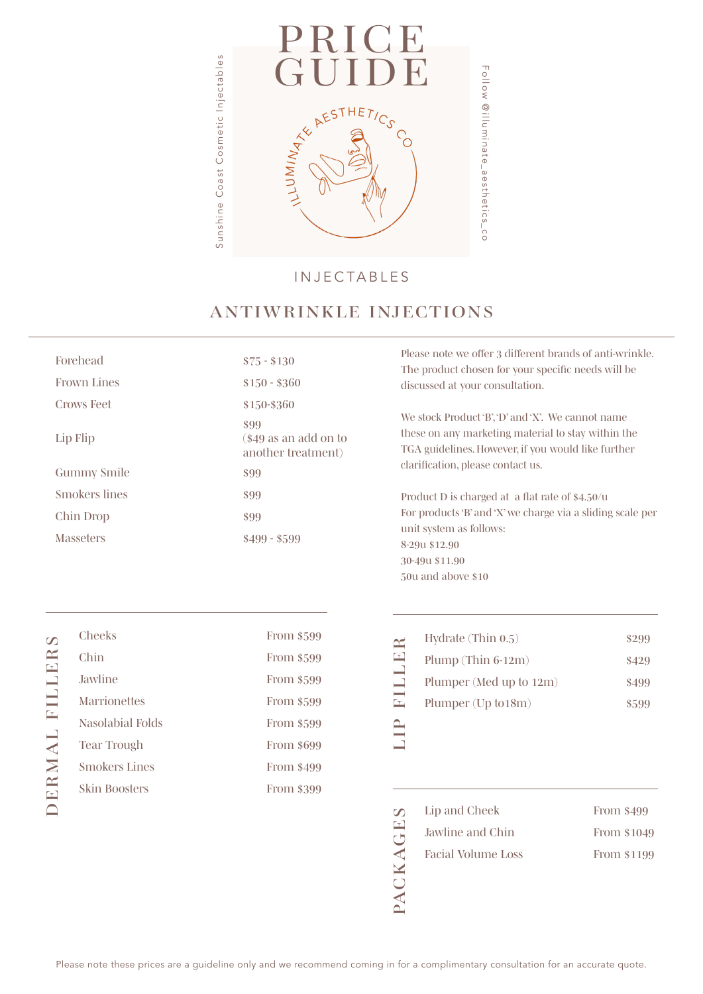

#### INJECTABLES

## *ANTIWRINKLE INJECTIONS*

| Forehead           | $$75 - $130$                                         |
|--------------------|------------------------------------------------------|
| <b>Frown Lines</b> | $$150 - $360$                                        |
| <b>Crows Feet</b>  | \$150-\$360                                          |
| Lip Flip           | \$99<br>$\$49$ as an add on to<br>another treatment) |
| <b>Gummy Smile</b> | \$99                                                 |
| Smokers lines      | \$99                                                 |
| Chin Drop          | \$99                                                 |
| <b>Masseters</b>   | $$499 - $599$                                        |
|                    |                                                      |

*Please note we offer 3 different brands of anti-wrinkle. The product chosen for your specific needs will be discussed at your consultation.* 

*We stock Product 'B', 'D' and 'X'. We cannot name these on any marketing material to stay within the TGA guidelines. However, if you would like further clarification, please contact us.*

*Product D is charged at a flat rate of \$4.50/u For products 'B' and 'X' we charge via a sliding scale per unit system as follows: 8-29u \$12.90 30-49u \$11.90 50u and above \$10*

| From \$599 | $\approx$                      | Hydra |
|------------|--------------------------------|-------|
| From \$599 | $\boxed{\mathbf{r}}$           | Plump |
| From \$599 | $\overline{\phantom{0}}$<br>J. | Plump |
| From \$599 | Œ,                             | Plump |
| From \$599 |                                |       |
| From \$699 |                                |       |
| From \$499 |                                |       |

| Y | Hydrate $(Thin 0.5)$    | \$299 |
|---|-------------------------|-------|
|   | Plump (Thin $6-12m$ )   | \$429 |
|   | Plumper (Med up to 12m) | \$499 |
|   | Plumper (Up to 18m)     | \$599 |
|   |                         |       |

| $\omega$ | Lip and Cheek      | From \$499  |
|----------|--------------------|-------------|
| Œ<br>rΠ  | Jawline and Chin   | From \$1049 |
| ⋖        | Facial Volume Loss | From \$1199 |
|          |                    |             |
|          |                    |             |

| Cheeks               | From \$599 |
|----------------------|------------|
| Chin                 | From \$599 |
| Jawline              | From \$599 |
| <b>Marrionettes</b>  | From \$599 |
| Nasolabial Folds     | From \$599 |
| Tear Trough          | From \$699 |
| <b>Smokers Lines</b> | From \$499 |
| <b>Skin Boosters</b> | From \$399 |
|                      |            |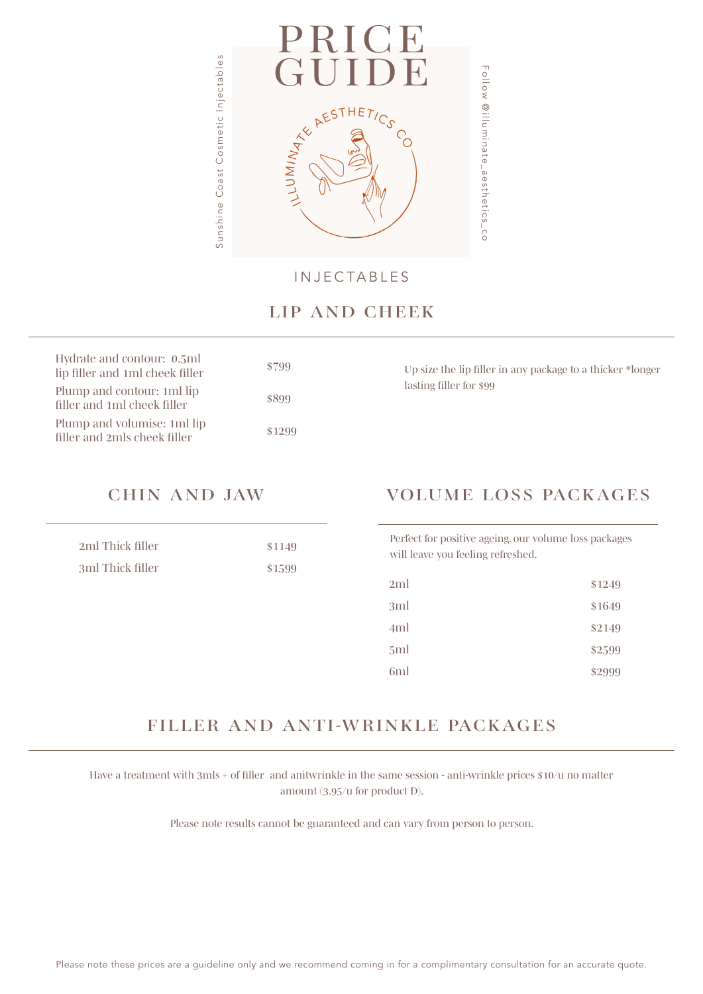

INJECTABLES

### *LIP AND CHEEK*

| Hydrate and contour: 0.5ml<br>lip filler and 1ml cheek filler | \$799  |
|---------------------------------------------------------------|--------|
| Plump and contour: 1ml lip<br>filler and 1ml cheek filler     | \$899  |
| Plump and volumise: 1ml lip<br>filler and 2mls cheek filler   | \$1299 |

*Up size the lip filler in any package to a thicker \*longer lasting filler for \$99*

| 2ml Thick filler | \$1149 |
|------------------|--------|
| 3ml Thick filler | \$1599 |

## *CHIN AND JAW VOLUME LOSS PACKAGES*

*Perfect for positive ageing, our volume loss packages will leave you feeling refreshed.* 

| 2ml             | \$1249 |
|-----------------|--------|
| 3ml             | \$1649 |
| 4ml             | \$2149 |
| 5 <sub>ml</sub> | \$2599 |
| 6 <sub>ml</sub> | \$2999 |

# *FILLER AND ANTI-WRINKLE PACKAGES*

*Have a treatment with 3mls + of filler and anitwrinkle in the same session - anti-wrinkle prices \$10/u no matter amount (3.95/u for product D).*

*Please note results cannot be guaranteed and can vary from person to person.*